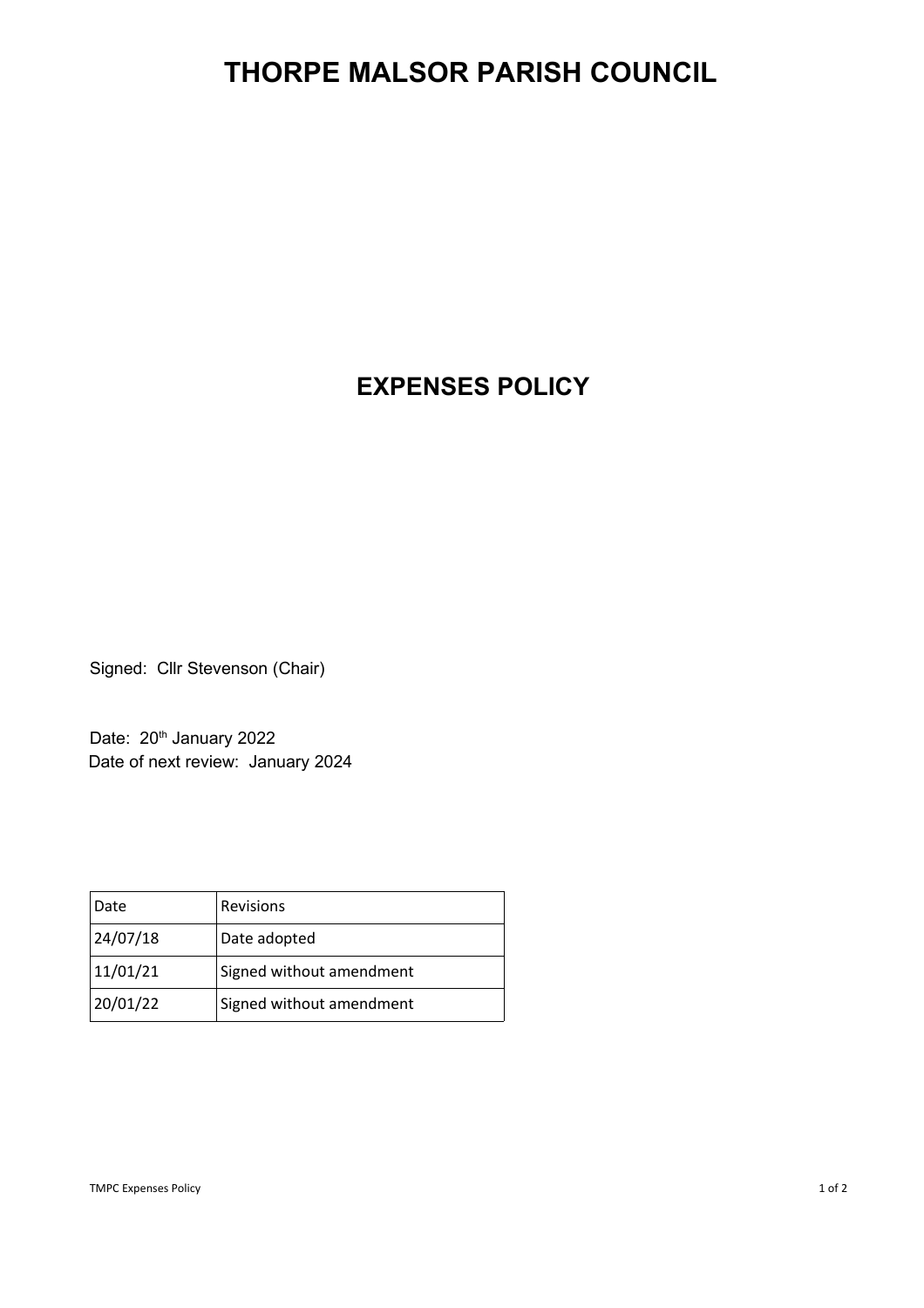## **THORPE MALSOR PARISH COUNCIL**

## **EXPENSES POLICY**

Signed: Cllr Stevenson (Chair)

Date: 20<sup>th</sup> January 2022 Date of next review: January 2024

| Date     | <b>Revisions</b>         |
|----------|--------------------------|
| 24/07/18 | Date adopted             |
| 11/01/21 | Signed without amendment |
| 20/01/22 | Signed without amendment |